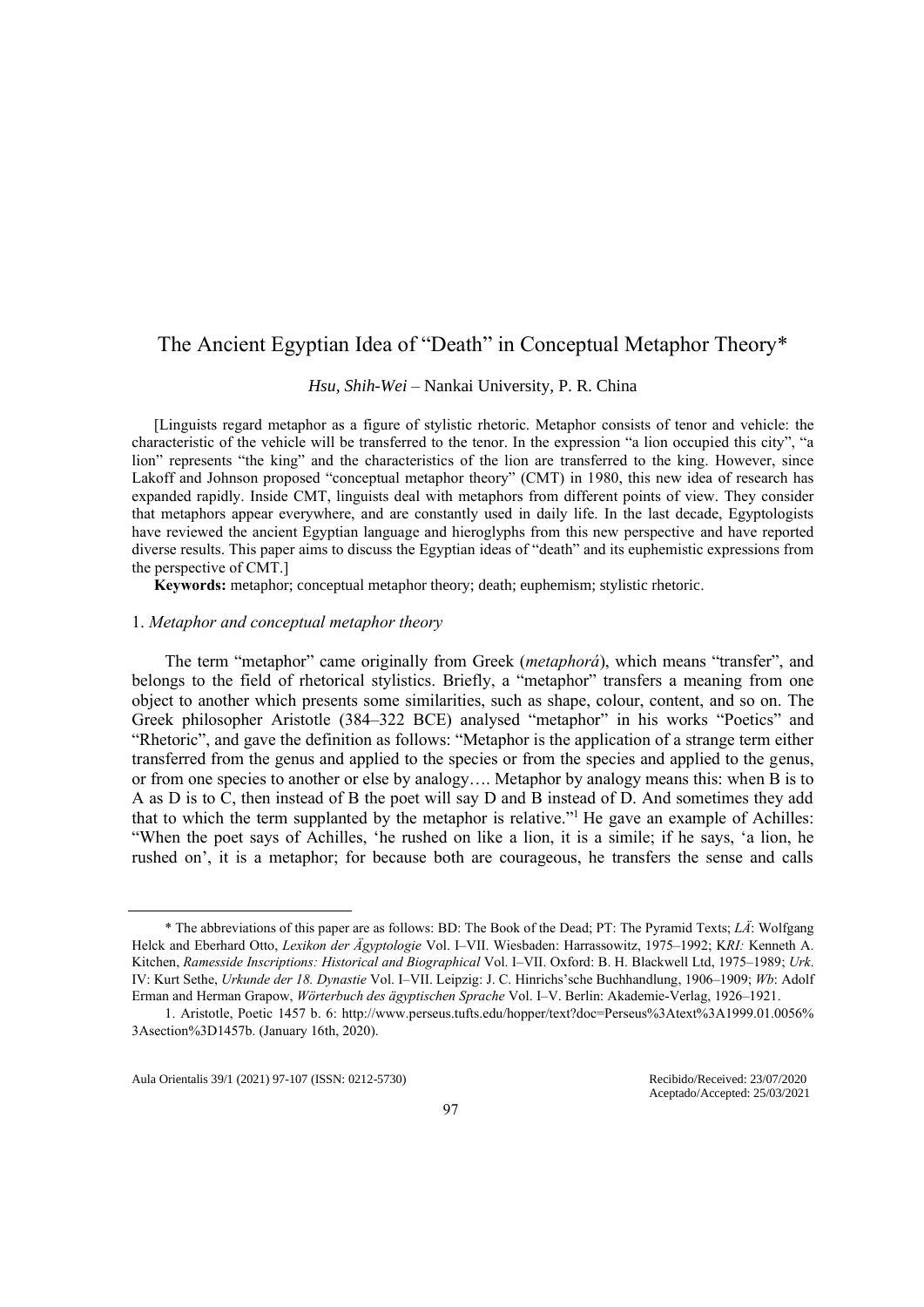# The Ancient Egyptian Idea of "Death" in Conceptual Metaphor Theory\*

*Hsu, Shih-Wei* ‒ Nankai University, P. R. China

[Linguists regard metaphor as a figure of stylistic rhetoric. Metaphor consists of tenor and vehicle: the characteristic of the vehicle will be transferred to the tenor. In the expression "a lion occupied this city", "a lion" represents "the king" and the characteristics of the lion are transferred to the king. However, since Lakoff and Johnson proposed "conceptual metaphor theory" (CMT) in 1980, this new idea of research has expanded rapidly. Inside CMT, linguists deal with metaphors from different points of view. They consider that metaphors appear everywhere, and are constantly used in daily life. In the last decade, Egyptologists have reviewed the ancient Egyptian language and hieroglyphs from this new perspective and have reported diverse results. This paper aims to discuss the Egyptian ideas of "death" and its euphemistic expressions from the perspective of CMT.]

**Keywords:** metaphor; conceptual metaphor theory; death; euphemism; stylistic rhetoric.

### 1. *Metaphor and conceptual metaphor theory*

The term "metaphor" came originally from Greek (*metaphorá*), which means "transfer", and belongs to the field of rhetorical stylistics. Briefly, a "metaphor" transfers a meaning from one object to another which presents some similarities, such as shape, colour, content, and so on. The Greek philosopher Aristotle (384–322 BCE) analysed "metaphor" in his works "Poetics" and "Rhetoric", and gave the definition as follows: "Metaphor is the application of a strange term either transferred from the genus and applied to the species or from the species and applied to the genus, or from one species to another or else by analogy…. Metaphor by analogy means this: when B is to A as D is to C, then instead of B the poet will say D and B instead of D. And sometimes they add that to which the term supplanted by the metaphor is relative."<sup>1</sup> He gave an example of Achilles: "When the poet says of Achilles, 'he rushed on like a lion, it is a simile; if he says, 'a lion, he rushed on', it is a metaphor; for because both are courageous, he transfers the sense and calls

Aula Orientalis 39/1 (2021) 97-107 (ISSN: 0212-5730) Recibido/Received: 23/07/2020

<sup>\*</sup> The abbreviations of this paper are as follows: BD: The Book of the Dead; PT: The Pyramid Texts; *LÄ*: Wolfgang Helck and Eberhard Otto, *Lexikon der Ägyptologie* Vol. I–VII. Wiesbaden: Harrassowitz, 1975–1992; K*RI:* Kenneth A. Kitchen, *Ramesside Inscriptions: Historical and Biographical* Vol. I–VII. Oxford: B. H. Blackwell Ltd, 1975–1989; *Urk*. IV: Kurt Sethe, *Urkunde der 18. Dynastie* Vol. I–VII. Leipzig: J. C. Hinrichs'sche Buchhandlung, 1906–1909; *Wb*: Adolf Erman and Herman Grapow, *Wörterbuch des ägyptischen Sprache* Vol. I–V. Berlin: Akademie-Verlag, 1926–1921.

<sup>1.</sup> Aristotle, Poetic 1457 b. 6: [http://www.perseus.tufts.edu/hopper/text?doc=Perseus%3Atext%3A1999.01.0056%](http://www.perseus.tufts.edu/hopper/text?doc=Perseus%3Atext%3A1999.01.0056%25%203Asection%3D1457b) [3Asection%3D1457b.](http://www.perseus.tufts.edu/hopper/text?doc=Perseus%3Atext%3A1999.01.0056%25%203Asection%3D1457b) (January 16th, 2020).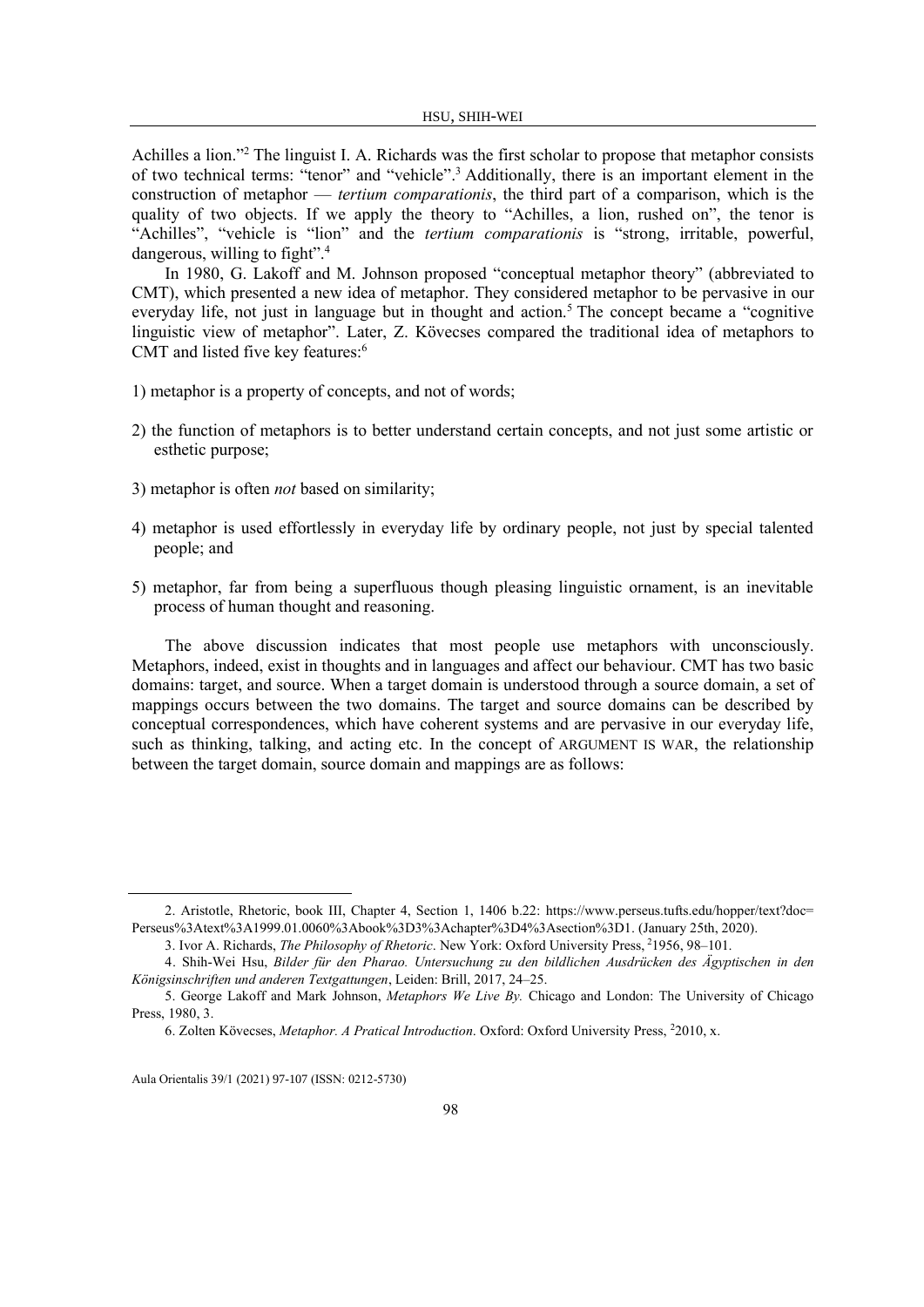Achilles a lion."<sup>2</sup> The linguist I. A. Richards was the first scholar to propose that metaphor consists of two technical terms: "tenor" and "vehicle".<sup>3</sup> Additionally, there is an important element in the construction of metaphor — *tertium comparationis*, the third part of a comparison, which is the quality of two objects. If we apply the theory to "Achilles, a lion, rushed on", the tenor is "Achilles", "vehicle is "lion" and the *tertium comparationis* is "strong, irritable, powerful, dangerous, willing to fight".<sup>4</sup>

In 1980, G. Lakoff and M. Johnson proposed "conceptual metaphor theory" (abbreviated to CMT), which presented a new idea of metaphor. They considered metaphor to be pervasive in our everyday life, not just in language but in thought and action.<sup>5</sup> The concept became a "cognitive" linguistic view of metaphor". Later, Z. Kövecses compared the traditional idea of metaphors to CMT and listed five key features: 6

- 1) metaphor is a property of concepts, and not of words;
- 2) the function of metaphors is to better understand certain concepts, and not just some artistic or esthetic purpose;
- 3) metaphor is often *not* based on similarity;
- 4) metaphor is used effortlessly in everyday life by ordinary people, not just by special talented people; and
- 5) metaphor, far from being a superfluous though pleasing linguistic ornament, is an inevitable process of human thought and reasoning.

The above discussion indicates that most people use metaphors with unconsciously. Metaphors, indeed, exist in thoughts and in languages and affect our behaviour. CMT has two basic domains: target, and source. When a target domain is understood through a source domain, a set of mappings occurs between the two domains. The target and source domains can be described by conceptual correspondences, which have coherent systems and are pervasive in our everyday life, such as thinking, talking, and acting etc. In the concept of ARGUMENT IS WAR, the relationship between the target domain, source domain and mappings are as follows:

<sup>2.</sup> Aristotle, Rhetoric, book III, Chapter 4, Section 1, 1406 b.22: [https://www.perseus.tufts.edu/hopper/text?doc=](https://www.perseus.tufts.edu/hopper/text?doc=%20Perseus%3Atext%3A1999.01.0060%3Abook%3D3%3Achapter%3D4%3Asection%3D1) [Perseus%3Atext%3A1999.01.0060%3Abook%3D3%3Achapter%3D4%3Asection%3D1.](https://www.perseus.tufts.edu/hopper/text?doc=%20Perseus%3Atext%3A1999.01.0060%3Abook%3D3%3Achapter%3D4%3Asection%3D1) (January 25th, 2020).

<sup>3.</sup> Ivor A. Richards, *The Philosophy of Rhetoric*. New York: Oxford University Press, <sup>2</sup>1956, 98–101.

<sup>4.</sup> Shih-Wei Hsu, *Bilder für den Pharao. Untersuchung zu den bildlichen Ausdrücken des Ägyptischen in den Königsinschriften und anderen Textgattungen*, Leiden: Brill, 2017, 24–25.

<sup>5.</sup> George Lakoff and Mark Johnson, *Metaphors We Live By.* Chicago and London: The University of Chicago Press, 1980, 3.

<sup>6.</sup> Zolten Kövecses, *Metaphor. A Pratical Introduction*. Oxford: Oxford University Press, 22010, x.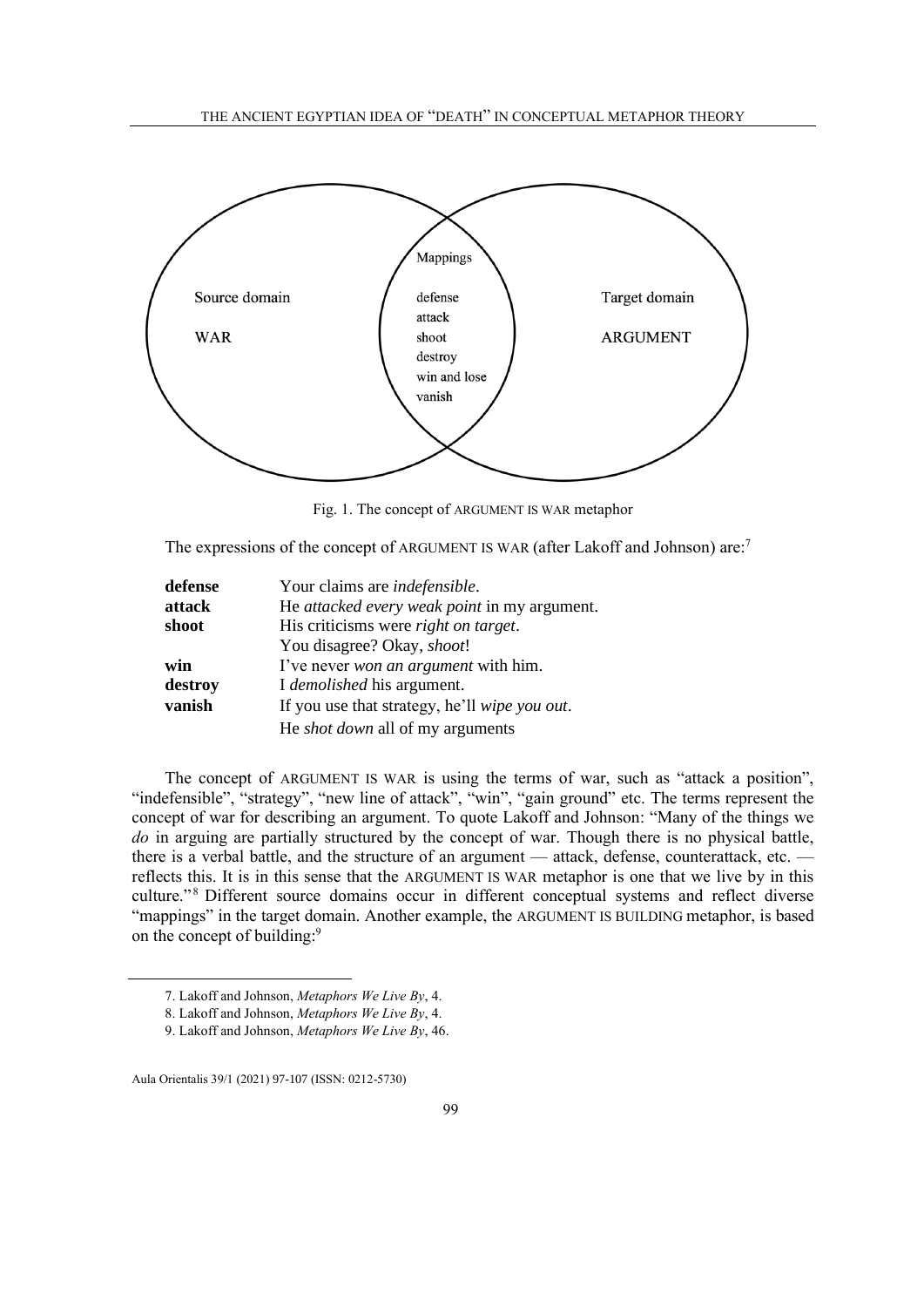

Fig. 1. The concept of ARGUMENT IS WAR metaphor

The expressions of the concept of ARGUMENT IS WAR (after Lakoff and Johnson) are:<sup>7</sup>

| defense | Your claims are indefensible.                 |
|---------|-----------------------------------------------|
| attack  | He attacked every weak point in my argument.  |
| shoot   | His criticisms were right on target.          |
|         | You disagree? Okay, <i>shoot!</i>             |
| win     | I've never <i>won an argument</i> with him.   |
| destroy | I demolished his argument.                    |
| vanish  | If you use that strategy, he'll wipe you out. |
|         | He <i>shot down</i> all of my arguments       |

The concept of ARGUMENT IS WAR is using the terms of war, such as "attack a position", "indefensible", "strategy", "new line of attack", "win", "gain ground" etc. The terms represent the concept of war for describing an argument. To quote Lakoff and Johnson: "Many of the things we *do* in arguing are partially structured by the concept of war. Though there is no physical battle, there is a verbal battle, and the structure of an argument — attack, defense, counterattack, etc. reflects this. It is in this sense that the ARGUMENT IS WAR metaphor is one that we live by in this culture."<sup>8</sup> Different source domains occur in different conceptual systems and reflect diverse "mappings" in the target domain. Another example, the ARGUMENT IS BUILDING metaphor, is based on the concept of building:<sup>9</sup>

<sup>7.</sup> Lakoff and Johnson, *Metaphors We Live By*, 4.

<sup>8.</sup> Lakoff and Johnson, *Metaphors We Live By*, 4.

<sup>9.</sup> Lakoff and Johnson, *Metaphors We Live By*, 46.

Aula Orientalis 39/1 (2021) 97-107 (ISSN: 0212-5730)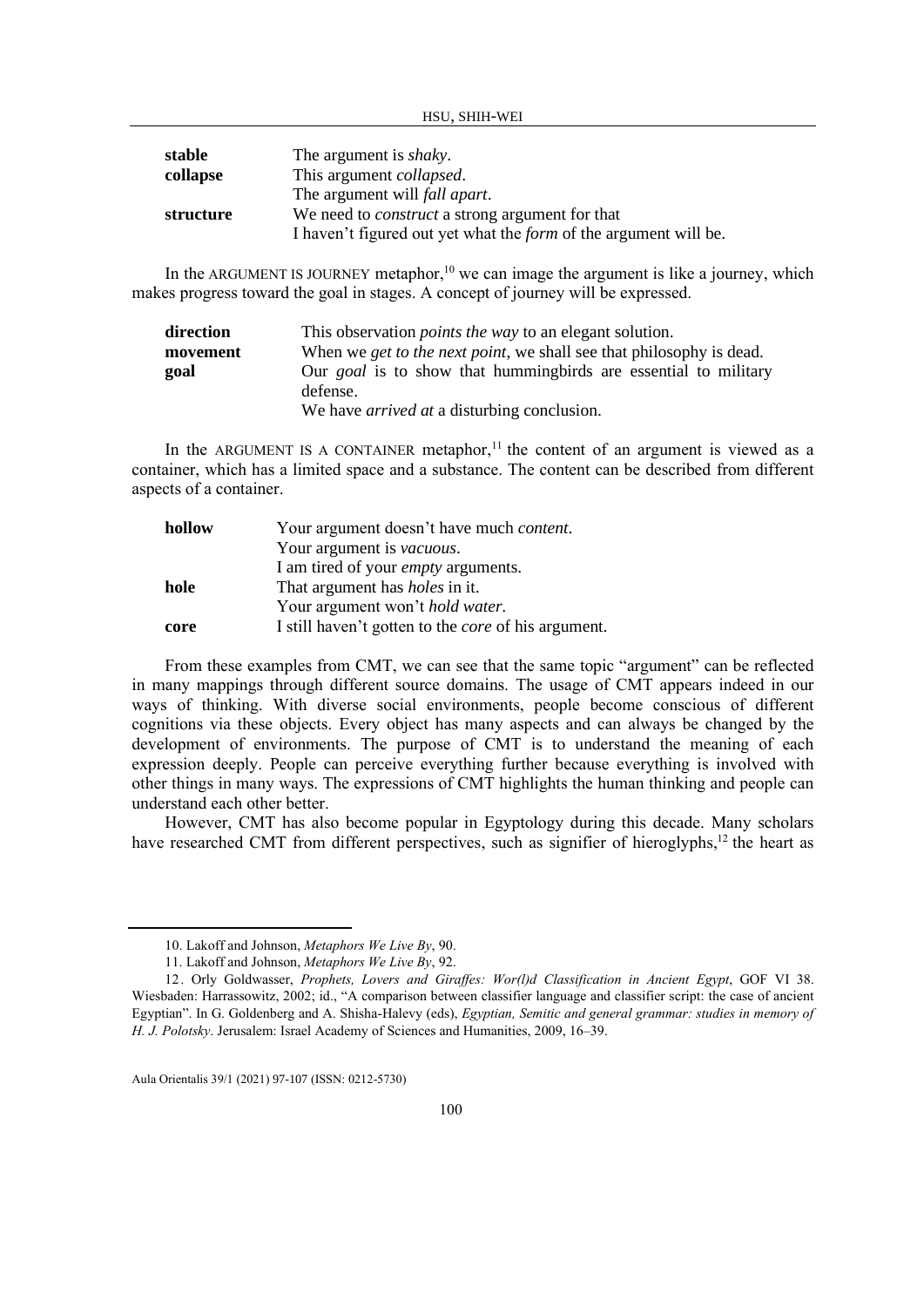HSU, SHIH-WEI

| stable    | The argument is <i>shaky</i> .                                          |
|-----------|-------------------------------------------------------------------------|
| collapse  | This argument <i>collapsed</i> .                                        |
|           | The argument will <i>fall apart</i> .                                   |
| structure | We need to <i>construct</i> a strong argument for that                  |
|           | I haven't figured out yet what the <i>form</i> of the argument will be. |

In the ARGUMENT IS JOURNEY metaphor,<sup>10</sup> we can image the argument is like a journey, which makes progress toward the goal in stages. A concept of journey will be expressed.

| direction | This observation <i>points the way</i> to an elegant solution.                      |
|-----------|-------------------------------------------------------------------------------------|
| movement  | When we <i>get to the next point</i> , we shall see that philosophy is dead.        |
| goal      | Our <i>goal</i> is to show that humming birds are essential to military<br>defense. |
|           | We have <i>arrived at</i> a disturbing conclusion.                                  |

In the ARGUMENT IS A CONTAINER metaphor,<sup>11</sup> the content of an argument is viewed as a container, which has a limited space and a substance. The content can be described from different aspects of a container.

| hollow | Your argument doesn't have much <i>content</i> .           |
|--------|------------------------------------------------------------|
|        | Your argument is <i>vacuous</i> .                          |
|        | I am tired of your <i>empty</i> arguments.                 |
| hole   | That argument has <i>holes</i> in it.                      |
|        | Your argument won't <i>hold water</i> .                    |
| core   | I still haven't gotten to the <i>core</i> of his argument. |

From these examples from CMT, we can see that the same topic "argument" can be reflected in many mappings through different source domains. The usage of CMT appears indeed in our ways of thinking. With diverse social environments, people become conscious of different cognitions via these objects. Every object has many aspects and can always be changed by the development of environments. The purpose of CMT is to understand the meaning of each expression deeply. People can perceive everything further because everything is involved with other things in many ways. The expressions of CMT highlights the human thinking and people can understand each other better.

However, CMT has also become popular in Egyptology during this decade. Many scholars have researched CMT from different perspectives, such as signifier of hieroglyphs,<sup>12</sup> the heart as

<sup>10.</sup> Lakoff and Johnson, *Metaphors We Live By*, 90.

<sup>11.</sup> Lakoff and Johnson, *Metaphors We Live By*, 92.

<sup>12.</sup> Orly Goldwasser, *Prophets, Lovers and Giraffes: Wor(l)d Classification in Ancient Egypt*, GOF VI 38. Wiesbaden: Harrassowitz, 2002; id., "A comparison between classifier language and classifier script: the case of ancient Egyptian". In G. Goldenberg and A. Shisha-Halevy (eds), *[Egyptian, Semitic and general grammar: studies in memory of](http://oeb.griffith.ox.ac.uk/oeb_entry.aspx?parent=168733)  [H. J. Polotsky](http://oeb.griffith.ox.ac.uk/oeb_entry.aspx?parent=168733)*. Jerusalem: Israel Academy of Sciences and Humanities, 2009, 16–39.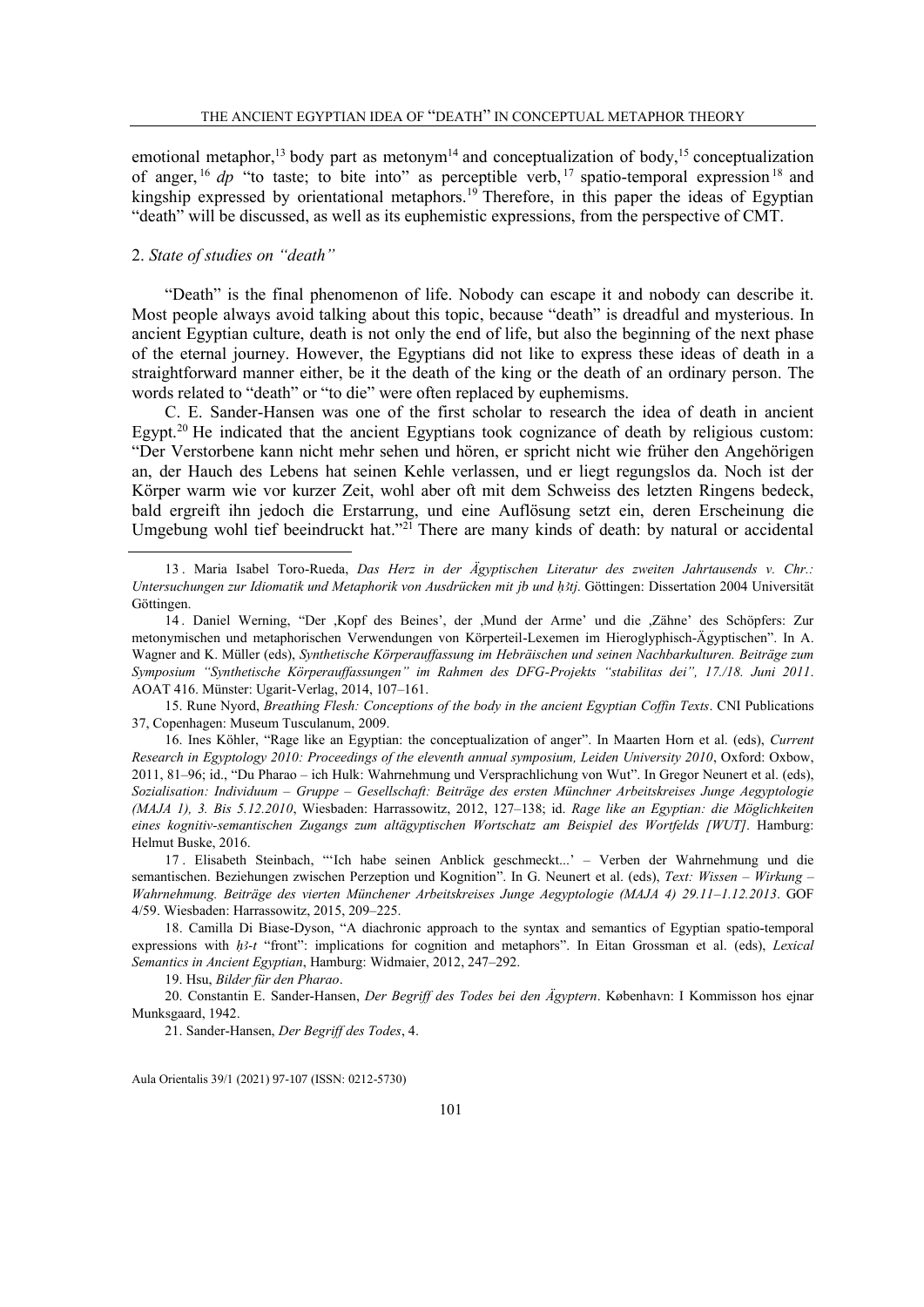emotional metaphor,<sup>13</sup> body part as metonym<sup>14</sup> and conceptualization of body,<sup>15</sup> conceptualization of anger, <sup>16</sup> dp "to taste; to bite into" as perceptible verb, <sup>17</sup> spatio-temporal expression<sup>18</sup> and kingship expressed by orientational metaphors.<sup>19</sup> Therefore, in this paper the ideas of Egyptian "death" will be discussed, as well as its euphemistic expressions, from the perspective of CMT.

## 2. *State of studies on "death"*

"Death" is the final phenomenon of life. Nobody can escape it and nobody can describe it. Most people always avoid talking about this topic, because "death" is dreadful and mysterious. In ancient Egyptian culture, death is not only the end of life, but also the beginning of the next phase of the eternal journey. However, the Egyptians did not like to express these ideas of death in a straightforward manner either, be it the death of the king or the death of an ordinary person. The words related to "death" or "to die" were often replaced by euphemisms.

C. E. Sander-Hansen was one of the first scholar to research the idea of death in ancient Egypt.<sup>20</sup> He indicated that the ancient Egyptians took cognizance of death by religious custom: "Der Verstorbene kann nicht mehr sehen und hören, er spricht nicht wie früher den Angehörigen an, der Hauch des Lebens hat seinen Kehle verlassen, und er liegt regungslos da. Noch ist der Körper warm wie vor kurzer Zeit, wohl aber oft mit dem Schweiss des letzten Ringens bedeck, bald ergreift ihn jedoch die Erstarrung, und eine Auflösung setzt ein, deren Erscheinung die Umgebung wohl tief beeindruckt hat."<sup>21</sup> There are many kinds of death: by natural or accidental

16. Ines Köhler, "Rage like an Egyptian: the conceptualization of anger". In Maarten Horn et al. (eds), *Current Research in Egyptology 2010: Proceedings of the eleventh annual symposium, Leiden University 2010*, Oxford: Oxbow, 2011, 81–96; id., "Du Pharao – ich Hulk: Wahrnehmung und Versprachlichung von Wut". In Gregor Neunert et al. (eds), *Sozialisation: Individuum – Gruppe – Gesellschaft: Beiträge des ersten Münchner Arbeitskreises Junge Aegyptologie (MAJA 1), 3. Bis 5.12.2010*, Wiesbaden: Harrassowitz, 2012, 127–138; id. *Rage like an Egyptian: die Möglichkeiten eines kognitiv-semantischen Zugangs zum altägyptischen Wortschatz am Beispiel des Wortfelds [WUT]*. Hamburg: Helmut Buske, 2016.

17 . Elisabeth Steinbach, "'Ich habe seinen Anblick geschmeckt...' – Verben der Wahrnehmung und die semantischen. Beziehungen zwischen Perzeption und Kognition". In G. Neunert et al. (eds), *Text: Wissen – Wirkung – Wahrnehmung. Beiträge des vierten Münchener Arbeitskreises Junge Aegyptologie (MAJA 4) 29.11–1.12.2013*. GOF 4/59. Wiesbaden: Harrassowitz, 2015, 209–225.

18. Camilla Di Biase-Dyson, "A diachronic approach to the syntax and semantics of Egyptian spatio-temporal expressions with  $h$ 3-t "front": implications for cognition and metaphors". In Eitan Grossman et al. (eds), *Lexical Semantics in Ancient Egyptian*, Hamburg: Widmaier, 2012, 247–292.

19. Hsu, *Bilder für den Pharao*.

20. Constantin E. Sander-Hansen, *Der Begriff des Todes bei den Ägyptern*. København: I Kommisson hos ejnar Munksgaard, 1942.

<sup>13</sup> . Maria Isabel Toro-Rueda, *Das Herz in der Ägyptischen Literatur des zweiten Jahrtausends v. Chr.:*  Untersuchungen zur Idiomatik und Metaphorik von Ausdrücken mit jb und h3tj. Göttingen: Dissertation 2004 Universität Göttingen.

<sup>14</sup> . Daniel Werning, "Der ,Kopf des Beines', der ,Mund der Arme' und die ,Zähne' des Schöpfers: Zur metonymischen und metaphorischen Verwendungen von Körperteil-Lexemen im Hieroglyphisch-Ägyptischen". In A. Wagner and K. Müller (eds), *Synthetische Körperauffassung im Hebräischen und seinen Nachbarkulturen. Beiträge zum Symposium "Synthetische Körperauffassungen" im Rahmen des DFG-Projekts "stabilitas dei", 17./18. Juni 2011*. AOAT 416. Münster: Ugarit-Verlag, 2014, 107–161.

<sup>15.</sup> Rune Nyord, *Breathing Flesh: Conceptions of the body in the ancient Egyptian Coffin Texts*. CNI Publications 37, Copenhagen: Museum Tusculanum, 2009.

<sup>21.</sup> Sander-Hansen, *Der Begriff des Todes*, 4.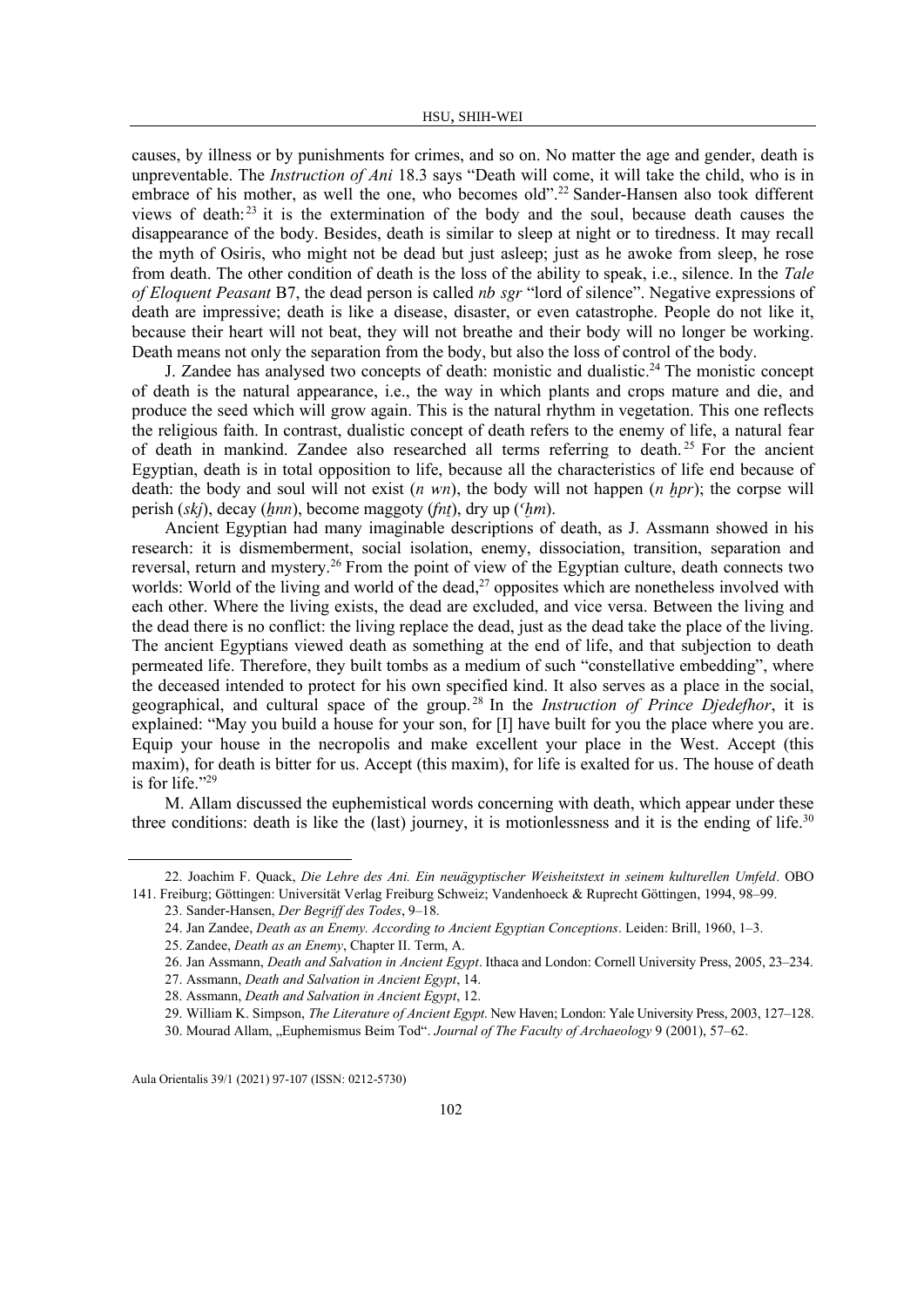causes, by illness or by punishments for crimes, and so on. No matter the age and gender, death is unpreventable. The *Instruction of Ani* 18.3 says "Death will come, it will take the child, who is in embrace of his mother, as well the one, who becomes old".<sup>22</sup> Sander-Hansen also took different views of death: $^{23}$  it is the extermination of the body and the soul, because death causes the disappearance of the body. Besides, death is similar to sleep at night or to tiredness. It may recall the myth of Osiris, who might not be dead but just asleep; just as he awoke from sleep, he rose from death. The other condition of death is the loss of the ability to speak, i.e., silence. In the *Tale of Eloquent Peasant* B7, the dead person is called nb sgr "lord of silence". Negative expressions of death are impressive; death is like a disease, disaster, or even catastrophe. People do not like it, because their heart will not beat, they will not breathe and their body will no longer be working. Death means not only the separation from the body, but also the loss of control of the body.

J. Zandee has analysed two concepts of death: monistic and dualistic.<sup>24</sup> The monistic concept of death is the natural appearance, i.e., the way in which plants and crops mature and die, and produce the seed which will grow again. This is the natural rhythm in vegetation. This one reflects the religious faith. In contrast, dualistic concept of death refers to the enemy of life, a natural fear of death in mankind. Zandee also researched all terms referring to death.<sup>25</sup> For the ancient Egyptian, death is in total opposition to life, because all the characteristics of life end because of death: the body and soul will not exist  $(n \text{ wn})$ , the body will not happen  $(n \text{ hpr})$ ; the corpse will perish  $(ski)$ , decay  $(hnn)$ , become maggoty  $(fnt)$ , dry up  $(Fnm)$ .

Ancient Egyptian had many imaginable descriptions of death, as J. Assmann showed in his research: it is dismemberment, social isolation, enemy, dissociation, transition, separation and reversal, return and mystery.<sup>26</sup> From the point of view of the Egyptian culture, death connects two worlds: World of the living and world of the dead,<sup>27</sup> opposites which are nonetheless involved with each other. Where the living exists, the dead are excluded, and vice versa. Between the living and the dead there is no conflict: the living replace the dead, just as the dead take the place of the living. The ancient Egyptians viewed death as something at the end of life, and that subjection to death permeated life. Therefore, they built tombs as a medium of such "constellative embedding", where the deceased intended to protect for his own specified kind. It also serves as a place in the social, geographical, and cultural space of the group. <sup>28</sup> In the *Instruction of Prince Djedefhor*, it is explained: "May you build a house for your son, for [I] have built for you the place where you are. Equip your house in the necropolis and make excellent your place in the West. Accept (this maxim), for death is bitter for us. Accept (this maxim), for life is exalted for us. The house of death is for life." $29$ 

M. Allam discussed the euphemistical words concerning with death, which appear under these three conditions: death is like the (last) journey, it is motionlessness and it is the ending of life.<sup>30</sup>

<sup>22.</sup> Joachim F. Quack, *Die Lehre des Ani. Ein neuägyptischer Weisheitstext in seinem kulturellen Umfeld*. OBO 141. Freiburg; Göttingen: Universität Verlag Freiburg Schweiz; Vandenhoeck & Ruprecht Göttingen, 1994, 98–99.

<sup>23.</sup> Sander-Hansen, *Der Begriff des Todes*, 9–18.

<sup>24.</sup> Jan Zandee, *Death as an Enemy. According to Ancient Egyptian Conceptions*. Leiden: Brill, 1960, 1–3.

<sup>25.</sup> Zandee, *Death as an Enemy*, Chapter II. Term, A.

<sup>26.</sup> Jan Assmann, *Death and Salvation in Ancient Egypt*. Ithaca and London: Cornell University Press, 2005, 23–234.

<sup>27.</sup> Assmann, *Death and Salvation in Ancient Egypt*, 14.

<sup>28.</sup> Assmann, *Death and Salvation in Ancient Egypt*, 12.

<sup>29.</sup> William K. Simpson, *The Literature of Ancient Egypt*. New Haven; London: Yale University Press, 2003, 127–128.

<sup>30.</sup> Mourad Allam, "Euphemismus Beim Tod". *Journal of The Faculty of Archaeology* 9 (2001), 57–62.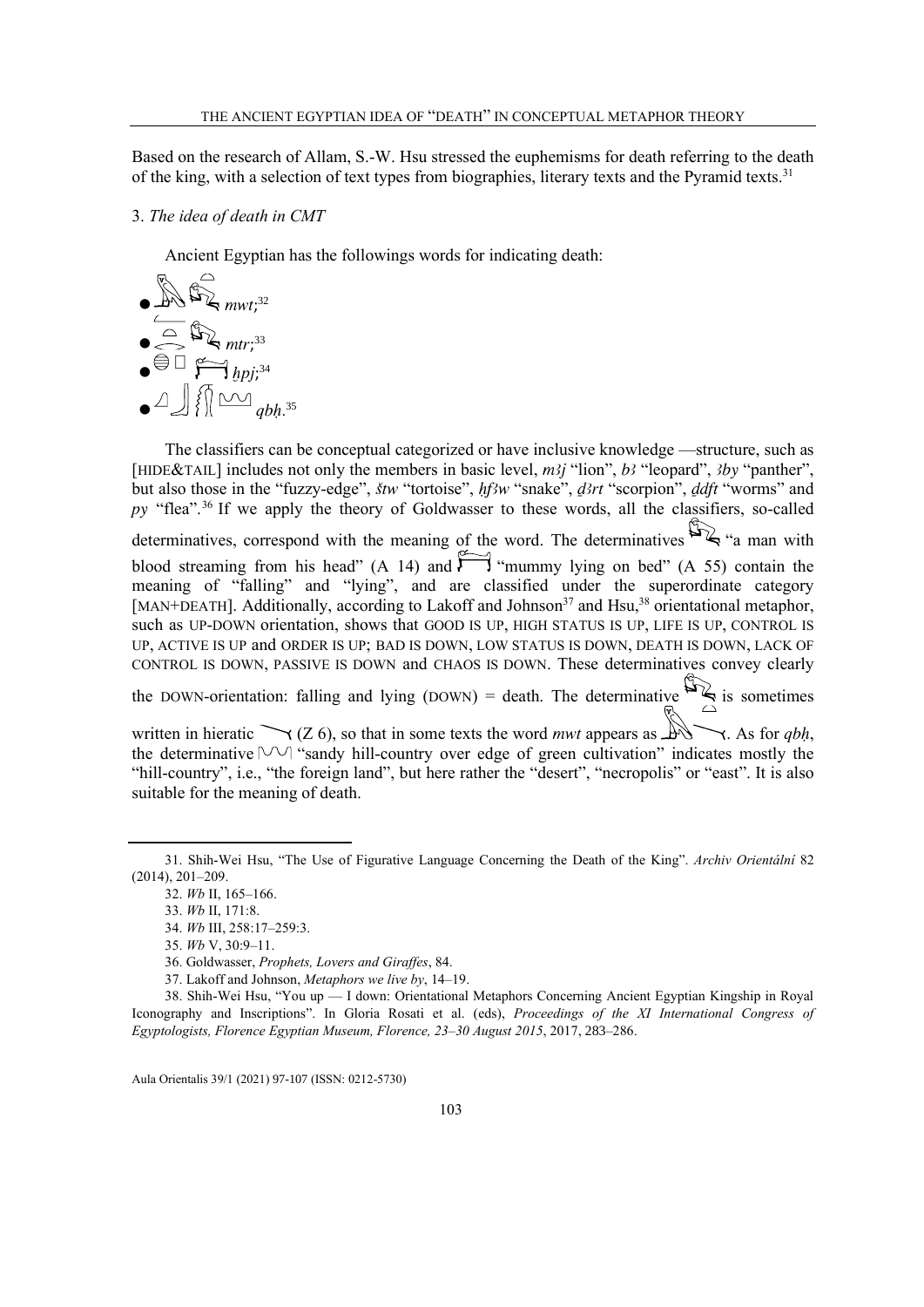Based on the research of Allam, S.-W. Hsu stressed the euphemisms for death referring to the death of the king, with a selection of text types from biographies, literary texts and the Pyramid texts.<sup>31</sup>

#### 3. *The idea of death in CMT*

Ancient Egyptian has the followings words for indicating death:

$$
\begin{array}{c}\n\bullet \quad \text{Div}_{\mathbf{m} \times t;^{32}} \\
\bullet \quad \text{Div}_{\mathbf{m} \times t;^{33}} \\
\bullet \quad \text{Div}_{\mathbf{m} \times t;^{34}} \\
\bullet \quad \text{Div}_{\mathbf{m} \times t;^{34}} \\
\bullet \quad \text{Div}_{\mathbf{m} \times t;^{35}} \\
\bullet \quad \text{Div}_{\mathbf{m} \times t;^{35}} \\
\bullet \quad \text{Div}_{\mathbf{m} \times t;^{35}} \\
\bullet \quad \text{Div}_{\mathbf{m} \times t;^{35}} \\
\bullet \quad \text{Div}_{\mathbf{m} \times t;^{35}} \\
\bullet \quad \text{Div}_{\mathbf{m} \times t;^{35}} \\
\bullet \quad \text{Div}_{\mathbf{m} \times t;^{35}} \\
\bullet \quad \text{Div}_{\mathbf{m} \times t;^{35}} \\
\bullet \quad \text{Div}_{\mathbf{m} \times t;^{35}} \\
\bullet \quad \text{Div}_{\mathbf{m} \times t;^{35}} \\
\bullet \quad \text{Div}_{\mathbf{m} \times t;^{35}} \\
\bullet \quad \text{Div}_{\mathbf{m} \times t;^{35}} \\
\bullet \quad \text{Div}_{\mathbf{m} \times t;^{35}} \\
\bullet \quad \text{Div}_{\mathbf{m} \times t;^{35}} \\
\bullet \quad \text{Div}_{\mathbf{m} \times t;^{35}} \\
\bullet \quad \text{Div}_{\mathbf{m} \times t;^{35}} \\
\bullet \quad \text{Div}_{\mathbf{m} \times t;^{35}} \\
\bullet \quad \text{Div}_{\mathbf{m} \times t;^{35}} \\
\bullet \quad \text{Div}_{\mathbf{m} \times t;^{35}} \\
\bullet \quad \text{Div}_{\mathbf{m} \times t;^{35}} \\
\bullet \quad \text{Div}_{\mathbf{m} \times t;^{35}} \\
\bullet \quad \text{Div}_{\mathbf{m} \times t;^{35}} \\
\bullet \quad \text{Div}_{\mathbf{m} \times t;^{35}} \\
\bullet \quad \text{Div}_{\mathbf{m} \times t;^{35}} \\
\bullet \quad \text{Div}_{\mathbf{m} \times t;^{35}} \\
\bullet \quad \text{Div}_{\mathbf{m} \times t;^{35}} \\
\bullet \quad \text{Div}_{\mathbf{m} \times t;^{35}} \\
\bullet \quad \text{Div
$$

The classifiers can be conceptual categorized or have inclusive knowledge —structure, such as [HIDE&TAIL] includes not only the members in basic level,  $m\lambda j$  "lion",  $b\lambda j$  "leopard",  $\lambda j$  "panther", but also those in the "fuzzy-edge", štw "tortoise", hf3w "snake", d3rt "scorpion", ddft "worms" and py "flea".<sup>36</sup> If we apply the theory of Goldwasser to these words, all the classifiers, so-called determinatives, correspond with the meaning of the word. The determinatives  $\mathbb{Z}_s$  "a man with blood streaming from his head" (A 14) and  $\sum_{m=1}^{\infty}$  "mummy lying on bed" (A 55) contain the meaning of "falling" and "lying", and are classified under the superordinate category [MAN+DEATH]. Additionally, according to Lakoff and Johnson<sup>37</sup> and Hsu,<sup>38</sup> orientational metaphor, such as UP-DOWN orientation, shows that GOOD IS UP, HIGH STATUS IS UP, LIFE IS UP, CONTROL IS UP, ACTIVE IS UP and ORDER IS UP; BAD IS DOWN, LOW STATUS IS DOWN, DEATH IS DOWN, LACK OF CONTROL IS DOWN, PASSIVE IS DOWN and CHAOS IS DOWN. These determinatives convey clearly

the DOWN-orientation: falling and lying (DOWN) = death. The determinative  $\mathbb{S}_{\leq}$  is sometimes

written in hieratic  $\bigvee$  (Z 6), so that in some texts the word *mwt* appears as  $\mathbb{A}$ , As for *qbh*, the determinative  $\forall \forall$  "sandy hill-country over edge of green cultivation" indicates mostly the "hill-country", i.e., "the foreign land", but here rather the "desert", "necropolis" or "east". It is also suitable for the meaning of death.

<sup>31.</sup> Shih-Wei Hsu, "The Use of Figurative Language Concerning the Death of the King". *Archiv Orientální* 82 (2014), 201–209.

<sup>32.</sup> *Wb* II, 165–166.

<sup>33.</sup> *Wb* II, 171:8.

<sup>34.</sup> *Wb* III, 258:17–259:3.

<sup>35.</sup> *Wb* V, 30:9–11.

<sup>36.</sup> Goldwasser, *Prophets, Lovers and Giraffes*, 84.

<sup>37.</sup> Lakoff and Johnson, *Metaphors we live by*, 14–19.

<sup>38.</sup> Shih-Wei Hsu, "You up — I down: Orientational Metaphors Concerning Ancient Egyptian Kingship in Royal Iconography and Inscriptions". In Gloria Rosati et al. (eds), *Proceedings of the XI International Congress of Egyptologists, Florence Egyptian Museum, Florence, 23–30 August 2015*, 2017, 283–286.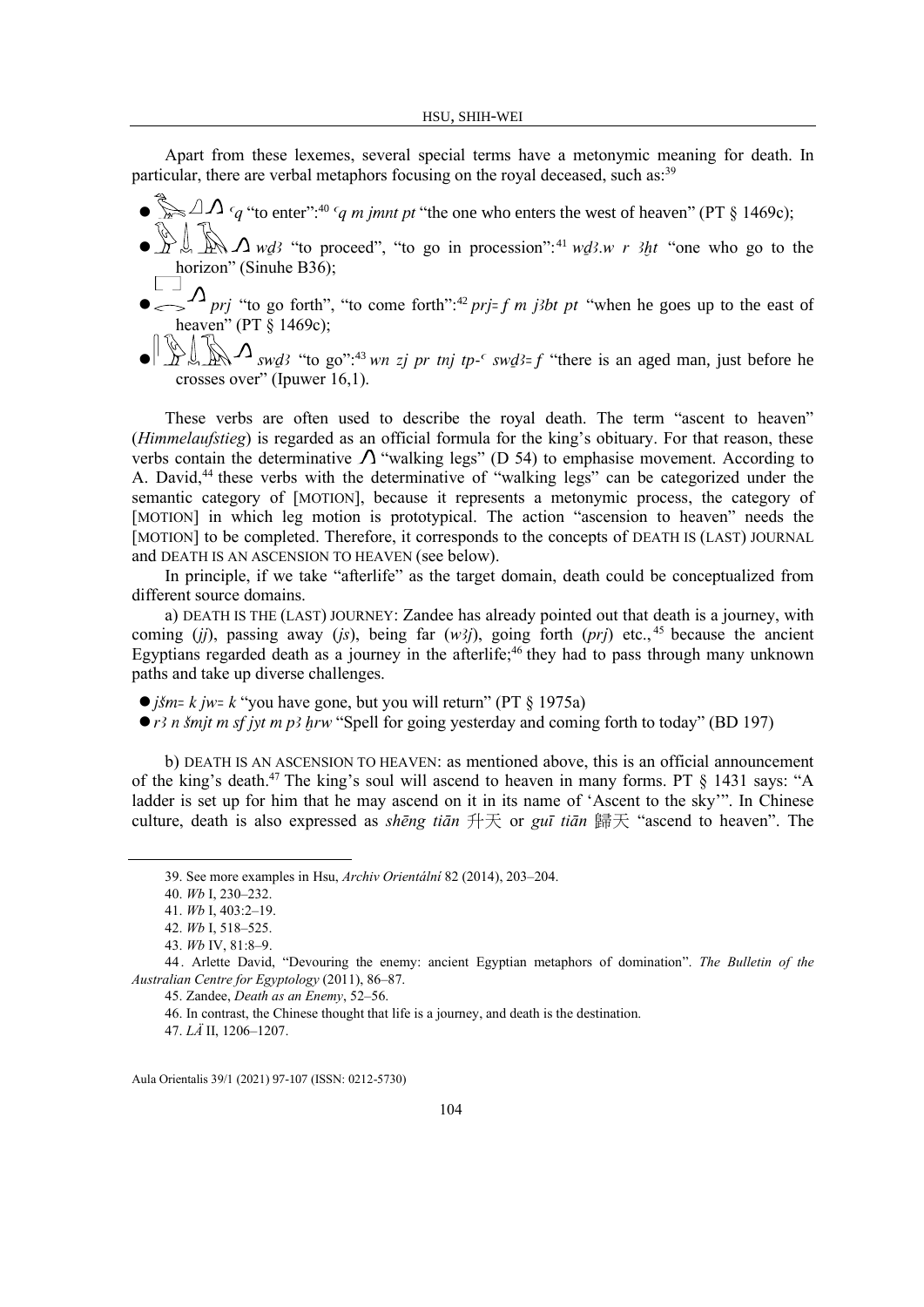Apart from these lexemes, several special terms have a metonymic meaning for death. In particular, there are verbal metaphors focusing on the royal deceased, such as:<sup>39</sup>

- $\sum_{m=1}^{\infty} \Delta \Lambda_{q}$  "to enter":<sup>40</sup>  $q$  m jmnt pt "the one who enters the west of heaven" (PT § 1469c);
- $\bullet$   $\bigcup_{n=1}^{\infty} \bigcup_{m=1}^{\infty} \bigcup_{m=1}^{\infty} \bigcap_{m=1}^{\infty}$  "to proceed", "to go in procession":<sup>41</sup> w*ds*.w r 3ht "one who go to the horizon" (Sinuhe B36);
- $\sum_{n=0}^{\infty} \sum_{n=0}^{n} p_n y^n$  "to go forth", "to come forth":<sup>42</sup> prj= f m j3bt pt "when he goes up to the east of heaven" (PT § 1469c);
- $\mathbb{R}^{\Lambda}$  swd? "to go":<sup>43</sup> wn zi pr tnj tp- $\epsilon$  swd?= f "there is an aged man, just before he crosses over" (Ipuwer 16,1).

These verbs are often used to describe the royal death. The term "ascent to heaven" (*Himmelaufstieg*) is regarded as an official formula for the king's obituary. For that reason, these verbs contain the determinative  $\Lambda$  "walking legs" (D 54) to emphasise movement. According to A. David,<sup>44</sup> these verbs with the determinative of "walking legs" can be categorized under the semantic category of [MOTION], because it represents a metonymic process, the category of [MOTION] in which leg motion is prototypical. The action "ascension to heaven" needs the [MOTION] to be completed. Therefore, it corresponds to the concepts of DEATH IS (LAST) JOURNAL and DEATH IS AN ASCENSION TO HEAVEN (see below).

In principle, if we take "afterlife" as the target domain, death could be conceptualized from different source domains.

a) DEATH IS THE (LAST) JOURNEY: Zandee has already pointed out that death is a journey, with coming (jj), passing away (js), being far  $(w \leq j)$ , going forth (prj) etc.,<sup>45</sup> because the ancient Egyptians regarded death as a journey in the afterlife;  $46$  they had to pass through many unknown paths and take up diverse challenges.

- $\bullet$  *jšm= k jw= k* "you have gone, but you will return" (PT  $\S$  1975a)
- $\bullet$  r<sup>3</sup> n šmjt m sf jyt m p<sup>3</sup> hrw "Spell for going yesterday and coming forth to today" (BD 197)

b) DEATH IS AN ASCENSION TO HEAVEN: as mentioned above, this is an official announcement of the king's death.<sup>47</sup> The king's soul will ascend to heaven in many forms. PT § 1431 says: "A ladder is set up for him that he may ascend on it in its name of 'Ascent to the sky'". In Chinese culture, death is also expressed as *shēng tiān* 升天 or *guī tiān* 歸天 "ascend to heaven". The

<sup>39.</sup> See more examples in Hsu, *Archiv Orientální* 82 (2014), 203–204.

<sup>40.</sup> *Wb* I, 230–232.

<sup>41.</sup> *Wb* I, 403:2–19.

<sup>42.</sup> *Wb* I, 518–525.

<sup>43.</sup> *Wb* IV, 81:8–9.

<sup>44</sup> . Arlette David, "Devouring the enemy: ancient Egyptian metaphors of domination". *The Bulletin of the Australian Centre for Egyptology* (2011), 86–87.

<sup>45.</sup> Zandee, *Death as an Enemy*, 52–56.

<sup>46.</sup> In contrast, the Chinese thought that life is a journey, and death is the destination.

<sup>47.</sup> *LÄ* II, 1206–1207.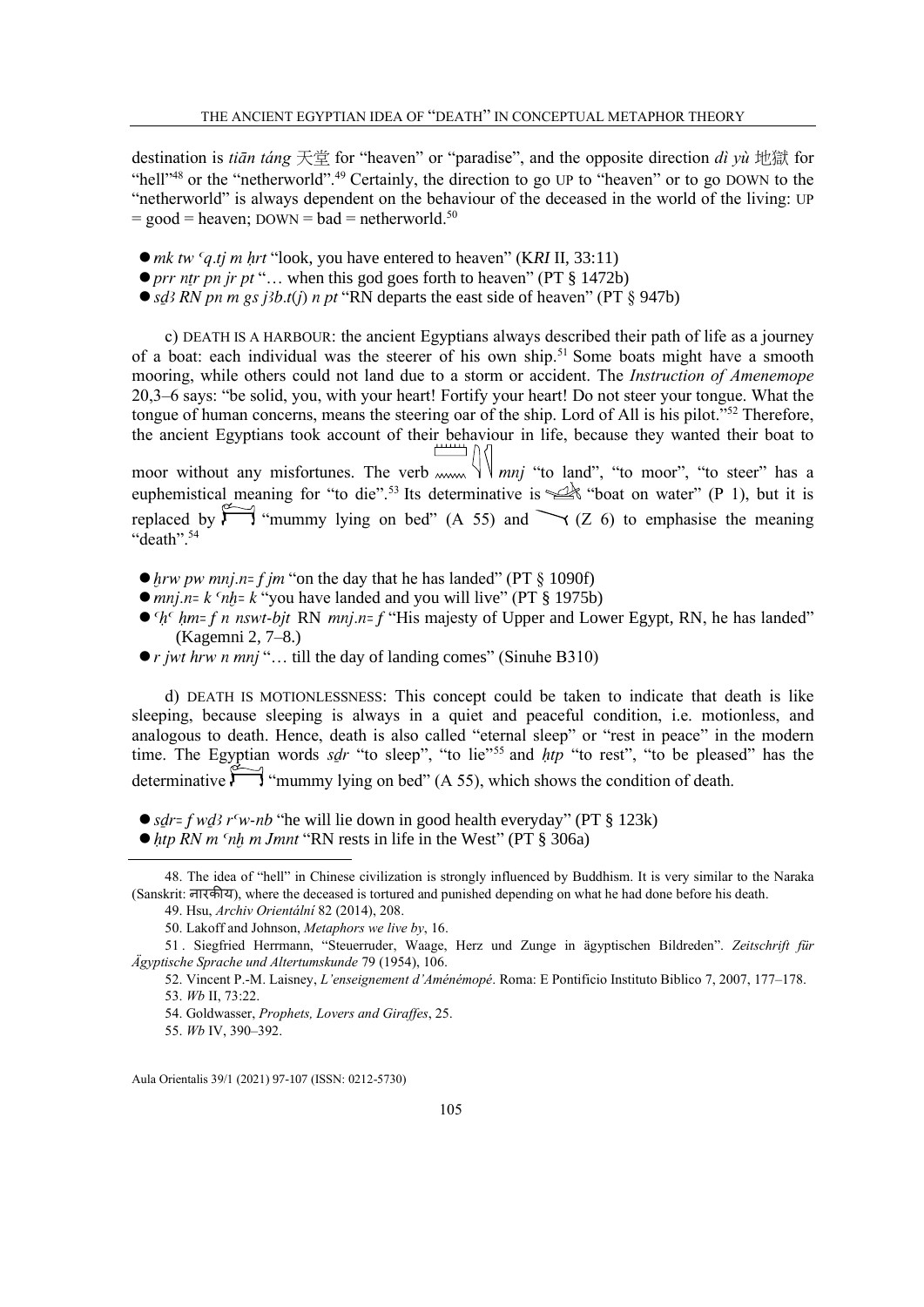destination is *tiān táng* 天堂 for "heaven" or "paradise", and the opposite direction *dì yù* 地獄 for "hell"<sup>48</sup> or the "netherworld".<sup>49</sup> Certainly, the direction to go UP to "heaven" or to go DOWN to the "netherworld" is always dependent on the behaviour of the deceased in the world of the living: UP  $=$  good  $=$  heaven; DOWN  $=$  bad  $=$  netherworld.<sup>50</sup>

- mk tw 'q.tj m hrt "look, you have entered to heaven" (KRI II, 33:11)
- $\bullet$  prr ntr pn jr pt "... when this god goes forth to heaven" (PT § 1472b)
- sd<sup>3</sup> RN pn m gs j<sup>3b</sup>.t(j) n pt "RN departs the east side of heaven" (PT  $\S$  947b)

c) DEATH IS A HARBOUR: the ancient Egyptians always described their path of life as a journey of a boat: each individual was the steerer of his own ship.<sup>51</sup> Some boats might have a smooth mooring, while others could not land due to a storm or accident. The *Instruction of Amenemope* 20,3–6 says: "be solid, you, with your heart! Fortify your heart! Do not steer your tongue. What the tongue of human concerns, means the steering oar of the ship. Lord of All is his pilot."<sup>52</sup> Therefore, the ancient Egyptians took account of their behaviour in life, because they wanted their boat to  $\Box$ 

moor without any misfortunes. The verb  $m \vee \vee m$  is "to land", "to moor", "to steer" has a euphemistical meaning for "to die".<sup>53</sup> Its determinative is  $\mathcal{Q}$ "boat on water" (P 1), but it is replaced by  $\overrightarrow{P}$  "mummy lying on bed" (A 55) and  $\rightarrow$  (Z 6) to emphasise the meaning "death".<sup>54</sup>

- $\bullet$  hrw pw mnj.n= f jm "on the day that he has landed" (PT  $\S$  1090f)
- $\bullet$  mnj.n= k 'nh = k "you have landed and you will live" (PT § 1975b)
- $\bullet$   $h^c$  hm= f n nswt-bit RN mnj.n= f "His majesty of Upper and Lower Egypt, RN, he has landed" (Kagemni 2, 7–8.)
- $\bullet$  *r jwt hrw n mnj* "... till the day of landing comes" (Sinuhe B310)

d) DEATH IS MOTIONLESSNESS: This concept could be taken to indicate that death is like sleeping, because sleeping is always in a quiet and peaceful condition, i.e. motionless, and analogous to death. Hence, death is also called "eternal sleep" or "rest in peace" in the modern time. The Egyptian words sdr "to sleep", "to lie"<sup>55</sup> and  $htp$  "to rest", "to be pleased" has the determinative  $\sum$  "mummy lying on bed" (A 55), which shows the condition of death.

- $\bullet$  sdr= f wd<sub>3</sub> r<sup>c</sup>w-nb "he will lie down in good health everyday" (PT § 123k)
- $\bullet$  htp RN m 'nh m Jmnt "RN rests in life in the West" (PT § 306a)

<sup>48.</sup> The idea of "hell" in Chinese civilization is strongly influenced by Buddhism. It is very similar to the Naraka (Sanskrit: नारकीय), where the deceased is tortured and punished depending on what he had done before his death.

<sup>49.</sup> Hsu, *Archiv Orientální* 82 (2014), 208.

<sup>50.</sup> Lakoff and Johnson, *Metaphors we live by*, 16.

<sup>51</sup> . Siegfried Herrmann, "Steuerruder, Waage, Herz und Zunge in ägyptischen Bildreden". *Zeitschrift für Ägyptische Sprache und Altertumskunde* 79 (1954), 106.

<sup>52.</sup> Vincent P.-M. Laisney, *L'enseignement d'Aménémopé*. Roma: E Pontificio Instituto Biblico 7, 2007, 177–178. 53. *Wb* II, 73:22.

<sup>54.</sup> Goldwasser, *Prophets, Lovers and Giraffes*, 25.

<sup>55.</sup> *Wb* IV, 390–392.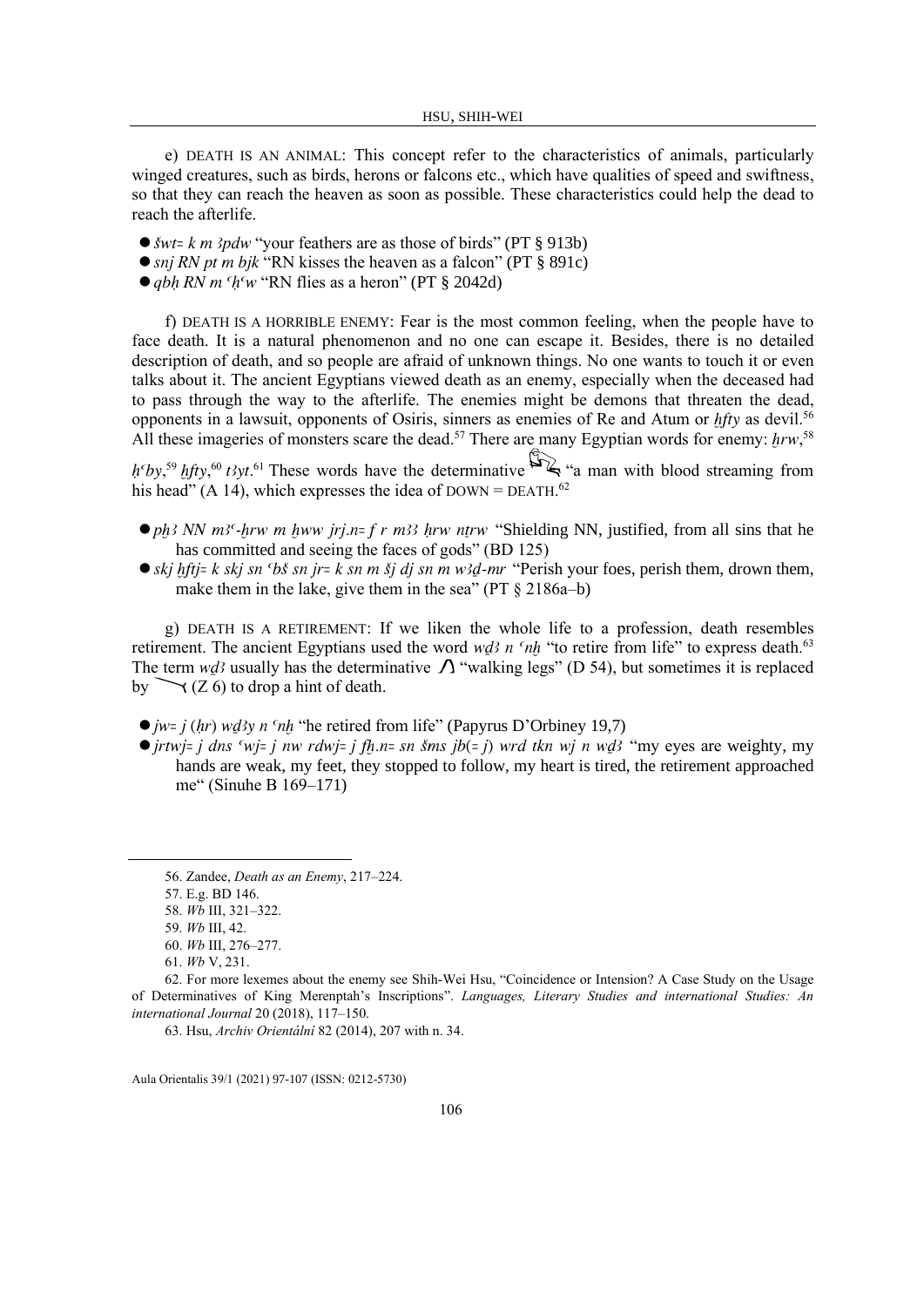e) DEATH IS AN ANIMAL: This concept refer to the characteristics of animals, particularly winged creatures, such as birds, herons or falcons etc., which have qualities of speed and swiftness, so that they can reach the heaven as soon as possible. These characteristics could help the dead to reach the afterlife.

- $\bullet$  *šwt= k m 3pdw* "your feathers are as those of birds" (PT § 913b)
- $\bullet$  snj RN pt m bjk "RN kisses the heaven as a falcon" (PT § 891c)
- $\bullet$  abh RN m  $^c$ h <sup>c</sup>w "RN flies as a heron" (PT § 2042d)

f) DEATH IS A HORRIBLE ENEMY: Fear is the most common feeling, when the people have to face death. It is a natural phenomenon and no one can escape it. Besides, there is no detailed description of death, and so people are afraid of unknown things. No one wants to touch it or even talks about it. The ancient Egyptians viewed death as an enemy, especially when the deceased had to pass through the way to the afterlife. The enemies might be demons that threaten the dead, opponents in a lawsuit, opponents of Osiris, sinners as enemies of Re and Atum or  $hftv$  as devil.<sup>56</sup> All these imageries of monsters scare the dead.<sup>57</sup> There are many Egyptian words for enemy:  $hrw$ ,<sup>58</sup>

 $h^6y$ ,<sup>59</sup> hfty,<sup>60</sup> t3yt.<sup>61</sup> These words have the determinative  $\rightarrow \mathcal{L}$  "a man with blood streaming from his head" (A 14), which expresses the idea of DOWN = DEATH.<sup>62</sup>

- $\bullet$  ph3 NN m<sup>3c</sup>-hrw m hww jrj.n= f r m33 hrw ntrw "Shielding NN, justified, from all sins that he has committed and seeing the faces of gods" (BD 125)
- $\bullet$  skj hftj= k skj sn  $5$  bš sn jr= k sn m šj dj sn m w3d-mr "Perish your foes, perish them, drown them, make them in the lake, give them in the sea" (PT § 2186a–b)

g) DEATH IS A RETIREMENT: If we liken the whole life to a profession, death resembles retirement. The ancient Egyptians used the word wd n  $n \hbar$  "to retire from life" to express death.<sup>63</sup> The term wd<sub>3</sub> usually has the determinative  $\Lambda$  "walking legs" (D 54), but sometimes it is replaced by  $\bigvee$  (Z 6) to drop a hint of death.

- $\bullet$  *jw*= *j*(*hr*) *wd*<sup>3</sup>*y n*  $\lceil nh \rceil$  the retired from life" (Papyrus D'Orbiney 19,7)
- $\bullet$  jrtwj= j dns 'wj= j nw rdwj= j fh.n= sn šms jb(= j) wrd tkn wj n wd3 "my eyes are weighty, my hands are weak, my feet, they stopped to follow, my heart is tired, the retirement approached me" (Sinuhe B 169–171)

<sup>56.</sup> Zandee, *Death as an Enemy*, 217–224.

<sup>57.</sup> E.g. BD 146.

<sup>58.</sup> *Wb* III, 321–322.

<sup>59.</sup> *Wb* III, 42.

<sup>60.</sup> *Wb* III, 276–277.

<sup>61.</sup> *Wb* V, 231.

<sup>62.</sup> For more lexemes about the enemy see Shih-Wei Hsu, "Coincidence or Intension? A Case Study on the Usage of Determinatives of King Merenptah's Inscriptions". *Languages, Literary Studies and international Studies: An international Journal* 20 (2018), 117–150.

<sup>63.</sup> Hsu, *Archiv Orientální* 82 (2014), 207 with n. 34.